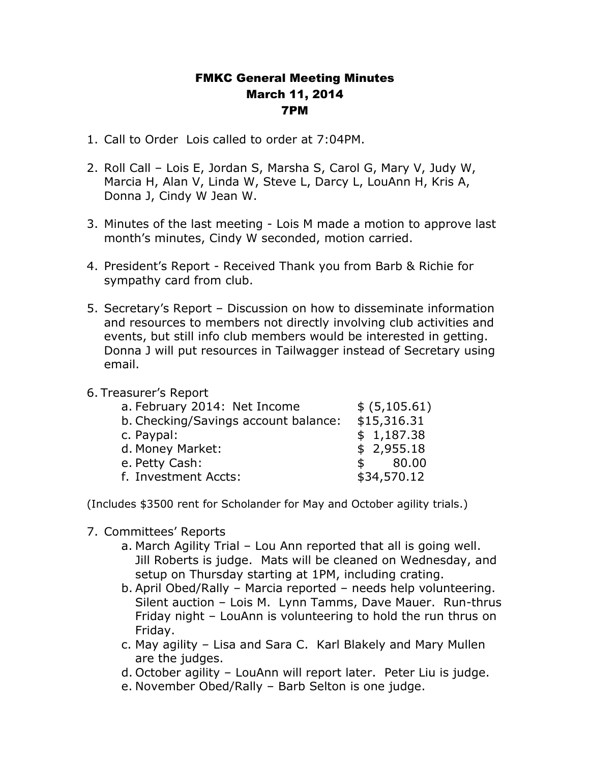## FMKC General Meeting Minutes March 11, 2014 7PM

- 1. Call to Order Lois called to order at 7:04PM.
- 2. Roll Call Lois E, Jordan S, Marsha S, Carol G, Mary V, Judy W, Marcia H, Alan V, Linda W, Steve L, Darcy L, LouAnn H, Kris A, Donna J, Cindy W Jean W.
- 3. Minutes of the last meeting Lois M made a motion to approve last month's minutes, Cindy W seconded, motion carried.
- 4. President's Report Received Thank you from Barb & Richie for sympathy card from club.
- 5. Secretary's Report Discussion on how to disseminate information and resources to members not directly involving club activities and events, but still info club members would be interested in getting. Donna J will put resources in Tailwagger instead of Secretary using email.

## 6. Treasurer's Report

| a. February 2014: Net Income         | \$ (5,105.61)         |
|--------------------------------------|-----------------------|
| b. Checking/Savings account balance: | \$15,316.31           |
| c. Paypal:                           | \$1,187.38            |
| d. Money Market:                     | \$2,955.18            |
| e. Petty Cash:                       | 80.00<br>$\mathsf{s}$ |
| f. Investment Accts:                 | \$34,570.12           |
|                                      |                       |

(Includes \$3500 rent for Scholander for May and October agility trials.)

- 7. Committees' Reports
	- a. March Agility Trial Lou Ann reported that all is going well. Jill Roberts is judge. Mats will be cleaned on Wednesday, and setup on Thursday starting at 1PM, including crating.
	- b. April Obed/Rally Marcia reported needs help volunteering. Silent auction – Lois M. Lynn Tamms, Dave Mauer. Run-thrus Friday night – LouAnn is volunteering to hold the run thrus on Friday.
	- c. May agility Lisa and Sara C. Karl Blakely and Mary Mullen are the judges.
	- d. October agility LouAnn will report later. Peter Liu is judge.
	- e. November Obed/Rally Barb Selton is one judge.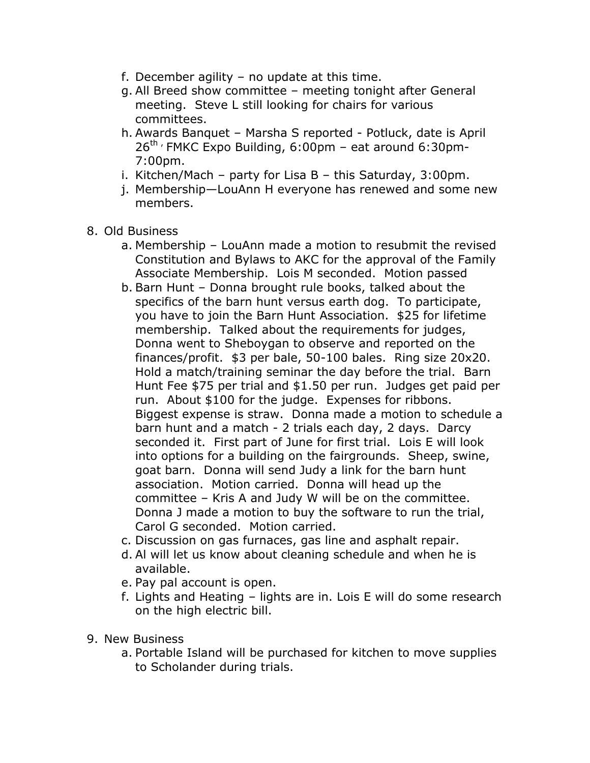- f. December agility no update at this time.
- g. All Breed show committee meeting tonight after General meeting. Steve L still looking for chairs for various committees.
- h. Awards Banquet Marsha S reported Potluck, date is April  $26^{th}$  , FMKC Expo Building, 6:00pm – eat around 6:30pm-7:00pm.
- i. Kitchen/Mach party for Lisa B this Saturday, 3:00pm.
- j. Membership—LouAnn H everyone has renewed and some new members.
- 8. Old Business
	- a. Membership LouAnn made a motion to resubmit the revised Constitution and Bylaws to AKC for the approval of the Family Associate Membership. Lois M seconded. Motion passed
	- b. Barn Hunt Donna brought rule books, talked about the specifics of the barn hunt versus earth dog. To participate, you have to join the Barn Hunt Association. \$25 for lifetime membership. Talked about the requirements for judges, Donna went to Sheboygan to observe and reported on the finances/profit. \$3 per bale, 50-100 bales. Ring size 20x20. Hold a match/training seminar the day before the trial. Barn Hunt Fee \$75 per trial and \$1.50 per run. Judges get paid per run. About \$100 for the judge. Expenses for ribbons. Biggest expense is straw. Donna made a motion to schedule a barn hunt and a match - 2 trials each day, 2 days. Darcy seconded it. First part of June for first trial. Lois E will look into options for a building on the fairgrounds. Sheep, swine, goat barn. Donna will send Judy a link for the barn hunt association. Motion carried. Donna will head up the committee – Kris A and Judy W will be on the committee. Donna J made a motion to buy the software to run the trial, Carol G seconded. Motion carried.
	- c. Discussion on gas furnaces, gas line and asphalt repair.
	- d. Al will let us know about cleaning schedule and when he is available.
	- e. Pay pal account is open.
	- f. Lights and Heating lights are in. Lois E will do some research on the high electric bill.
- 9. New Business
	- a. Portable Island will be purchased for kitchen to move supplies to Scholander during trials.